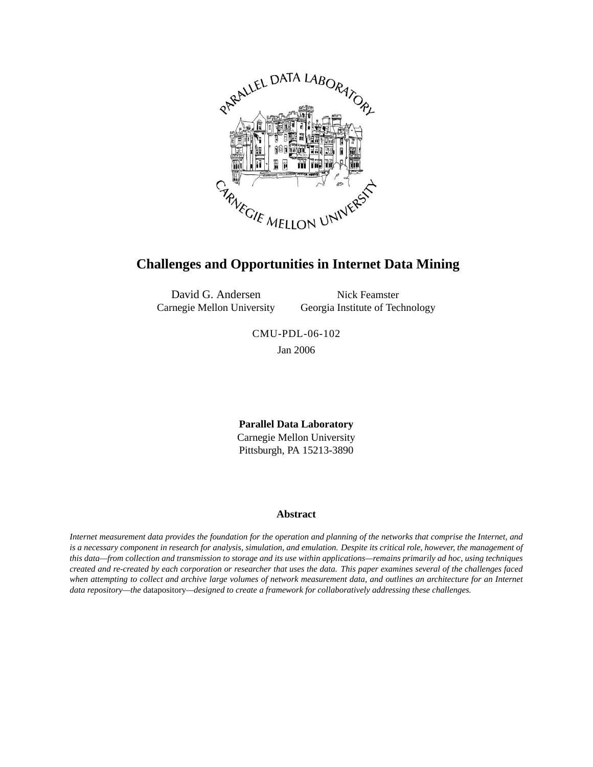

# **Challenges and Opportunities in Internet Data Mining**

David G. Andersen Carnegie Mellon University

Nick Feamster Georgia Institute of Technology

CMU-PDL-06-102 Jan 2006

**Parallel Data Laboratory** Carnegie Mellon University Pittsburgh, PA 15213-3890

#### **Abstract**

*Internet measurement data provides the foundation for the operation and planning of the networks that comprise the Internet, and is a necessary component in research for analysis, simulation, and emulation. Despite its critical role, however, the management of this data—from collection and transmission to storage and its use within applications—remains primarily ad hoc, using techniques created and re-created by each corporation or researcher that uses the data. This paper examines several of the challenges faced when attempting to collect and archive large volumes of network measurement data, and outlines an architecture for an Internet data repository—the* datapository*—designed to create a framework for collaboratively addressing these challenges.*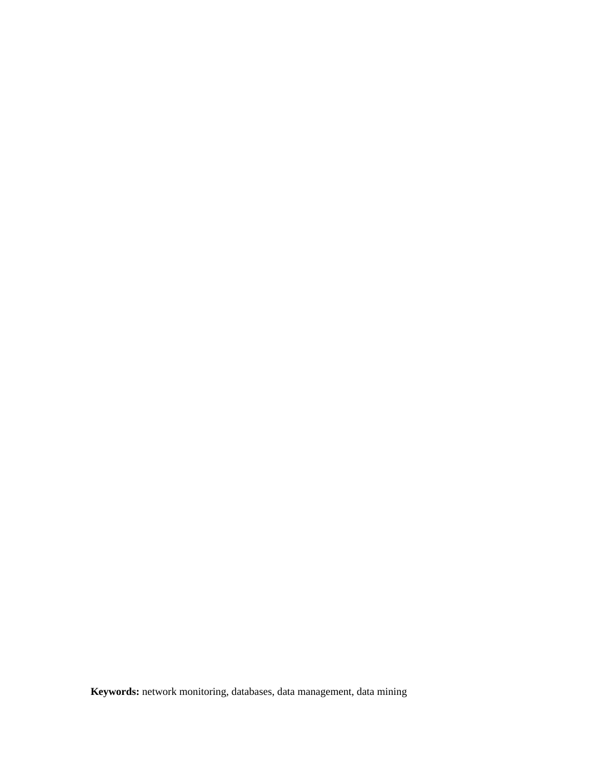**Keywords:** network monitoring, databases, data management, data mining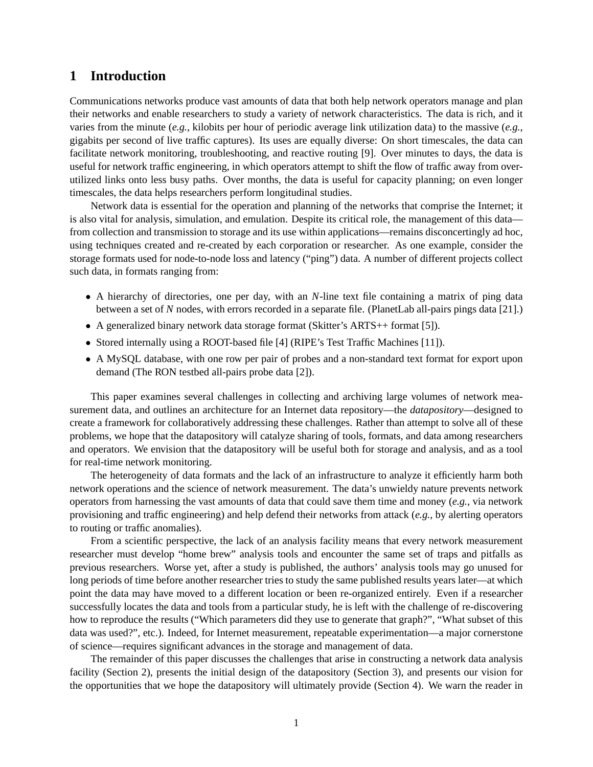## **1 Introduction**

Communications networks produce vast amounts of data that both help network operators manage and plan their networks and enable researchers to study a variety of network characteristics. The data is rich, and it varies from the minute (*e.g.*, kilobits per hour of periodic average link utilization data) to the massive (*e.g.*, gigabits per second of live traffic captures). Its uses are equally diverse: On short timescales, the data can facilitate network monitoring, troubleshooting, and reactive routing [\[9\]](#page-8-0). Over minutes to days, the data is useful for network traffic engineering, in which operators attempt to shift the flow of traffic away from overutilized links onto less busy paths. Over months, the data is useful for capacity planning; on even longer timescales, the data helps researchers perform longitudinal studies.

Network data is essential for the operation and planning of the networks that comprise the Internet; it is also vital for analysis, simulation, and emulation. Despite its critical role, the management of this data from collection and transmission to storage and its use within applications—remains disconcertingly ad hoc, using techniques created and re-created by each corporation or researcher. As one example, consider the storage formats used for node-to-node loss and latency ("ping") data. A number of different projects collect such data, in formats ranging from:

- A hierarchy of directories, one per day, with an *N*-line text file containing a matrix of ping data between a set of *N* nodes, with errors recorded in a separate file. (PlanetLab all-pairs pings data [\[21\]](#page-9-0).)
- A generalized binary network data storage format (Skitter's ARTS++ format [\[5\]](#page-8-1)).
- Stored internally using a ROOT-based file [\[4\]](#page-8-2) (RIPE's Test Traffic Machines [\[11\]](#page-8-3)).
- A MySQL database, with one row per pair of probes and a non-standard text format for export upon demand (The RON testbed all-pairs probe data [\[2\]](#page-8-4)).

This paper examines several challenges in collecting and archiving large volumes of network measurement data, and outlines an architecture for an Internet data repository—the *datapository*—designed to create a framework for collaboratively addressing these challenges. Rather than attempt to solve all of these problems, we hope that the datapository will catalyze sharing of tools, formats, and data among researchers and operators. We envision that the datapository will be useful both for storage and analysis, and as a tool for real-time network monitoring.

The heterogeneity of data formats and the lack of an infrastructure to analyze it efficiently harm both network operations and the science of network measurement. The data's unwieldy nature prevents network operators from harnessing the vast amounts of data that could save them time and money (*e.g.*, via network provisioning and traffic engineering) and help defend their networks from attack (*e.g.*, by alerting operators to routing or traffic anomalies).

From a scientific perspective, the lack of an analysis facility means that every network measurement researcher must develop "home brew" analysis tools and encounter the same set of traps and pitfalls as previous researchers. Worse yet, after a study is published, the authors' analysis tools may go unused for long periods of time before another researcher tries to study the same published results years later—at which point the data may have moved to a different location or been re-organized entirely. Even if a researcher successfully locates the data and tools from a particular study, he is left with the challenge of re-discovering how to reproduce the results ("Which parameters did they use to generate that graph?", "What subset of this data was used?", etc.). Indeed, for Internet measurement, repeatable experimentation—a major cornerstone of science—requires significant advances in the storage and management of data.

The remainder of this paper discusses the challenges that arise in constructing a network data analysis facility (Section [2\)](#page-3-0), presents the initial design of the datapository (Section [3\)](#page-4-0), and presents our vision for the opportunities that we hope the datapository will ultimately provide (Section [4\)](#page-7-0). We warn the reader in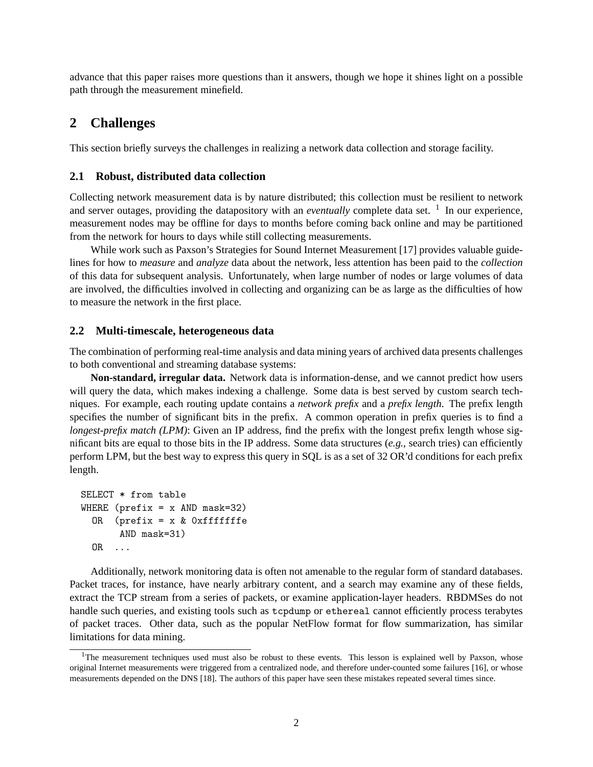advance that this paper raises more questions than it answers, though we hope it shines light on a possible path through the measurement minefield.

## <span id="page-3-0"></span>**2 Challenges**

This section briefly surveys the challenges in realizing a network data collection and storage facility.

#### **2.1 Robust, distributed data collection**

Collecting network measurement data is by nature distributed; this collection must be resilient to network and server outages, providing the datapository with an *eventually* complete data set. <sup>1</sup> In our experience, measurement nodes may be offline for days to months before coming back online and may be partitioned from the network for hours to days while still collecting measurements.

While work such as Paxson's Strategies for Sound Internet Measurement [\[17\]](#page-9-1) provides valuable guidelines for how to *measure* and *analyze* data about the network, less attention has been paid to the *collection* of this data for subsequent analysis. Unfortunately, when large number of nodes or large volumes of data are involved, the difficulties involved in collecting and organizing can be as large as the difficulties of how to measure the network in the first place.

#### **2.2 Multi-timescale, heterogeneous data**

The combination of performing real-time analysis and data mining years of archived data presents challenges to both conventional and streaming database systems:

**Non-standard, irregular data.** Network data is information-dense, and we cannot predict how users will query the data, which makes indexing a challenge. Some data is best served by custom search techniques. For example, each routing update contains a *network prefix* and a *prefix length*. The prefix length specifies the number of significant bits in the prefix. A common operation in prefix queries is to find a *longest-prefix match (LPM)*: Given an IP address, find the prefix with the longest prefix length whose significant bits are equal to those bits in the IP address. Some data structures (*e.g.*, search tries) can efficiently perform LPM, but the best way to express this query in SQL is as a set of 32 OR'd conditions for each prefix length.

```
SELECT * from table
WHERE (prefix = x AND mask=32)
 OR (prefix = x & 0xfffffffe
       AND mask=31)
 OR ...
```
Additionally, network monitoring data is often not amenable to the regular form of standard databases. Packet traces, for instance, have nearly arbitrary content, and a search may examine any of these fields, extract the TCP stream from a series of packets, or examine application-layer headers. RBDMSes do not handle such queries, and existing tools such as tcpdump or ethereal cannot efficiently process terabytes of packet traces. Other data, such as the popular NetFlow format for flow summarization, has similar limitations for data mining.

<sup>&</sup>lt;sup>1</sup>The measurement techniques used must also be robust to these events. This lesson is explained well by Paxson, whose original Internet measurements were triggered from a centralized node, and therefore under-counted some failures [\[16\]](#page-8-5), or whose measurements depended on the DNS [\[18\]](#page-9-2). The authors of this paper have seen these mistakes repeated several times since.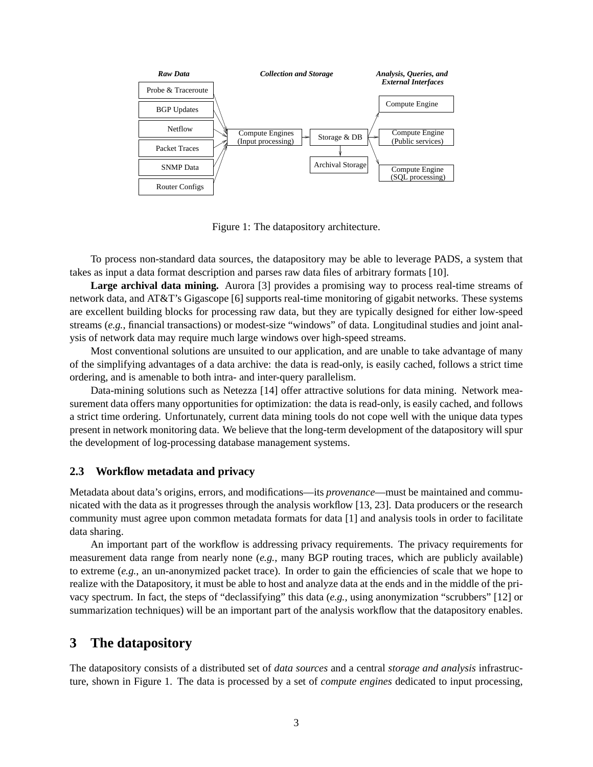

<span id="page-4-1"></span>Figure 1: The datapository architecture.

To process non-standard data sources, the datapository may be able to leverage PADS, a system that takes as input a data format description and parses raw data files of arbitrary formats [\[10\]](#page-8-6).

**Large archival data mining.** Aurora [\[3\]](#page-8-7) provides a promising way to process real-time streams of network data, and AT&T's Gigascope [\[6\]](#page-8-8) supports real-time monitoring of gigabit networks. These systems are excellent building blocks for processing raw data, but they are typically designed for either low-speed streams (*e.g.*, financial transactions) or modest-size "windows" of data. Longitudinal studies and joint analysis of network data may require much large windows over high-speed streams.

Most conventional solutions are unsuited to our application, and are unable to take advantage of many of the simplifying advantages of a data archive: the data is read-only, is easily cached, follows a strict time ordering, and is amenable to both intra- and inter-query parallelism.

Data-mining solutions such as Netezza [\[14\]](#page-8-9) offer attractive solutions for data mining. Network measurement data offers many opportunities for optimization: the data is read-only, is easily cached, and follows a strict time ordering. Unfortunately, current data mining tools do not cope well with the unique data types present in network monitoring data. We believe that the long-term development of the datapository will spur the development of log-processing database management systems.

#### **2.3 Workflow metadata and privacy**

Metadata about data's origins, errors, and modifications—its *provenance*—must be maintained and communicated with the data as it progresses through the analysis workflow [\[13,](#page-8-10) [23\]](#page-9-3). Data producers or the research community must agree upon common metadata formats for data [\[1\]](#page-8-11) and analysis tools in order to facilitate data sharing.

An important part of the workflow is addressing privacy requirements. The privacy requirements for measurement data range from nearly none (*e.g.*, many BGP routing traces, which are publicly available) to extreme (*e.g.*, an un-anonymized packet trace). In order to gain the efficiencies of scale that we hope to realize with the Datapository, it must be able to host and analyze data at the ends and in the middle of the privacy spectrum. In fact, the steps of "declassifying" this data (*e.g.*, using anonymization "scrubbers" [\[12\]](#page-8-12) or summarization techniques) will be an important part of the analysis workflow that the datapository enables.

### <span id="page-4-0"></span>**3 The datapository**

The datapository consists of a distributed set of *data sources* and a central *storage and analysis* infrastructure, shown in Figure [1.](#page-4-1) The data is processed by a set of *compute engines* dedicated to input processing,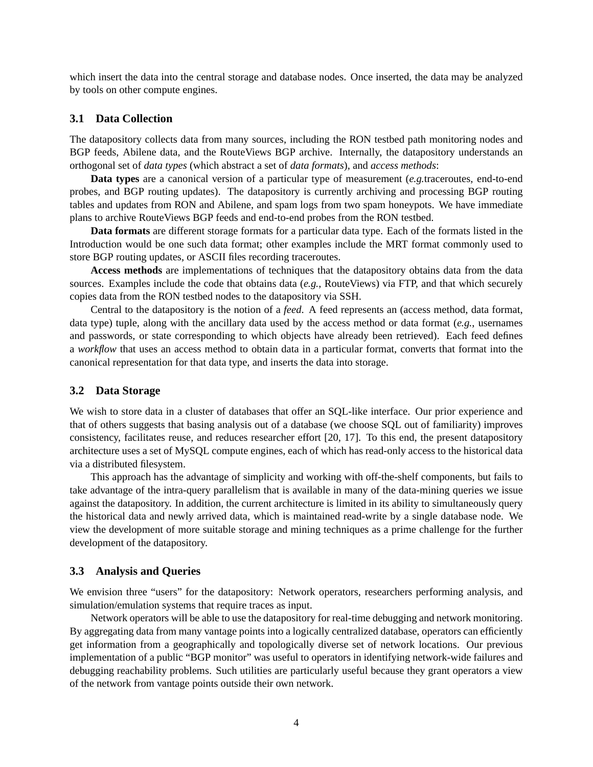which insert the data into the central storage and database nodes. Once inserted, the data may be analyzed by tools on other compute engines.

### **3.1 Data Collection**

The datapository collects data from many sources, including the RON testbed path monitoring nodes and BGP feeds, Abilene data, and the RouteViews BGP archive. Internally, the datapository understands an orthogonal set of *data types* (which abstract a set of *data formats*), and *access methods*:

**Data types** are a canonical version of a particular type of measurement (*e.g.*traceroutes, end-to-end probes, and BGP routing updates). The datapository is currently archiving and processing BGP routing tables and updates from RON and Abilene, and spam logs from two spam honeypots. We have immediate plans to archive RouteViews BGP feeds and end-to-end probes from the RON testbed.

**Data formats** are different storage formats for a particular data type. Each of the formats listed in the Introduction would be one such data format; other examples include the MRT format commonly used to store BGP routing updates, or ASCII files recording traceroutes.

**Access methods** are implementations of techniques that the datapository obtains data from the data sources. Examples include the code that obtains data (*e.g.*, RouteViews) via FTP, and that which securely copies data from the RON testbed nodes to the datapository via SSH.

Central to the datapository is the notion of a *feed*. A feed represents an (access method, data format, data type) tuple, along with the ancillary data used by the access method or data format (*e.g.*, usernames and passwords, or state corresponding to which objects have already been retrieved). Each feed defines a *workflow* that uses an access method to obtain data in a particular format, converts that format into the canonical representation for that data type, and inserts the data into storage.

#### **3.2 Data Storage**

We wish to store data in a cluster of databases that offer an SOL-like interface. Our prior experience and that of others suggests that basing analysis out of a database (we choose SQL out of familiarity) improves consistency, facilitates reuse, and reduces researcher effort [\[20,](#page-9-4) [17\]](#page-9-1). To this end, the present datapository architecture uses a set of MySQL compute engines, each of which has read-only access to the historical data via a distributed filesystem.

This approach has the advantage of simplicity and working with off-the-shelf components, but fails to take advantage of the intra-query parallelism that is available in many of the data-mining queries we issue against the datapository. In addition, the current architecture is limited in its ability to simultaneously query the historical data and newly arrived data, which is maintained read-write by a single database node. We view the development of more suitable storage and mining techniques as a prime challenge for the further development of the datapository.

#### **3.3 Analysis and Queries**

We envision three "users" for the datapository: Network operators, researchers performing analysis, and simulation/emulation systems that require traces as input.

Network operators will be able to use the datapository for real-time debugging and network monitoring. By aggregating data from many vantage points into a logically centralized database, operators can efficiently get information from a geographically and topologically diverse set of network locations. Our previous implementation of a public "BGP monitor" was useful to operators in identifying network-wide failures and debugging reachability problems. Such utilities are particularly useful because they grant operators a view of the network from vantage points outside their own network.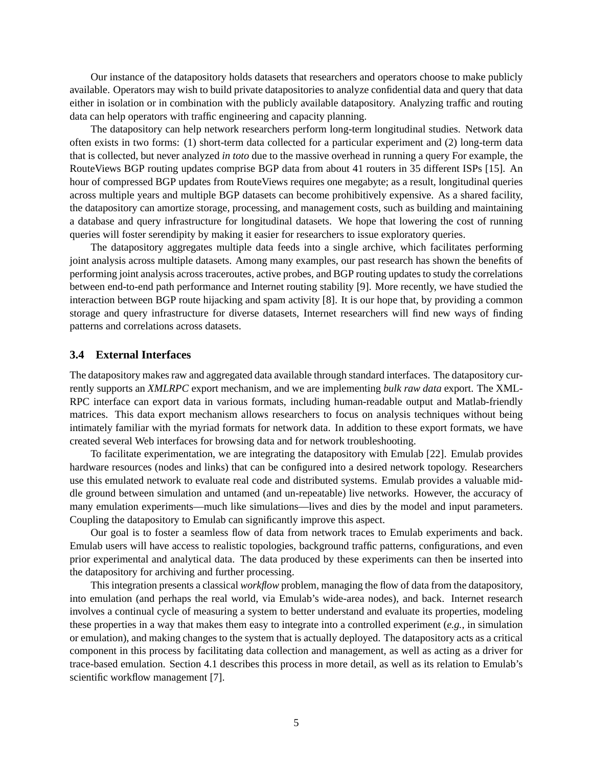Our instance of the datapository holds datasets that researchers and operators choose to make publicly available. Operators may wish to build private datapositories to analyze confidential data and query that data either in isolation or in combination with the publicly available datapository. Analyzing traffic and routing data can help operators with traffic engineering and capacity planning.

The datapository can help network researchers perform long-term longitudinal studies. Network data often exists in two forms: (1) short-term data collected for a particular experiment and (2) long-term data that is collected, but never analyzed *in toto* due to the massive overhead in running a query For example, the RouteViews BGP routing updates comprise BGP data from about 41 routers in 35 different ISPs [\[15\]](#page-8-13). An hour of compressed BGP updates from RouteViews requires one megabyte; as a result, longitudinal queries across multiple years and multiple BGP datasets can become prohibitively expensive. As a shared facility, the datapository can amortize storage, processing, and management costs, such as building and maintaining a database and query infrastructure for longitudinal datasets. We hope that lowering the cost of running queries will foster serendipity by making it easier for researchers to issue exploratory queries.

The datapository aggregates multiple data feeds into a single archive, which facilitates performing joint analysis across multiple datasets. Among many examples, our past research has shown the benefits of performing joint analysis across traceroutes, active probes, and BGP routing updates to study the correlations between end-to-end path performance and Internet routing stability [\[9\]](#page-8-0). More recently, we have studied the interaction between BGP route hijacking and spam activity [\[8\]](#page-8-14). It is our hope that, by providing a common storage and query infrastructure for diverse datasets, Internet researchers will find new ways of finding patterns and correlations across datasets.

#### **3.4 External Interfaces**

The datapository makes raw and aggregated data available through standard interfaces. The datapository currently supports an *XMLRPC* export mechanism, and we are implementing *bulk raw data* export. The XML-RPC interface can export data in various formats, including human-readable output and Matlab-friendly matrices. This data export mechanism allows researchers to focus on analysis techniques without being intimately familiar with the myriad formats for network data. In addition to these export formats, we have created several Web interfaces for browsing data and for network troubleshooting.

To facilitate experimentation, we are integrating the datapository with Emulab [\[22\]](#page-9-5). Emulab provides hardware resources (nodes and links) that can be configured into a desired network topology. Researchers use this emulated network to evaluate real code and distributed systems. Emulab provides a valuable middle ground between simulation and untamed (and un-repeatable) live networks. However, the accuracy of many emulation experiments—much like simulations—lives and dies by the model and input parameters. Coupling the datapository to Emulab can significantly improve this aspect.

Our goal is to foster a seamless flow of data from network traces to Emulab experiments and back. Emulab users will have access to realistic topologies, background traffic patterns, configurations, and even prior experimental and analytical data. The data produced by these experiments can then be inserted into the datapository for archiving and further processing.

This integration presents a classical *workflow* problem, managing the flow of data from the datapository, into emulation (and perhaps the real world, via Emulab's wide-area nodes), and back. Internet research involves a continual cycle of measuring a system to better understand and evaluate its properties, modeling these properties in a way that makes them easy to integrate into a controlled experiment (*e.g.*, in simulation or emulation), and making changes to the system that is actually deployed. The datapository acts as a critical component in this process by facilitating data collection and management, as well as acting as a driver for trace-based emulation. Section [4.1](#page-7-1) describes this process in more detail, as well as its relation to Emulab's scientific workflow management [\[7\]](#page-8-15).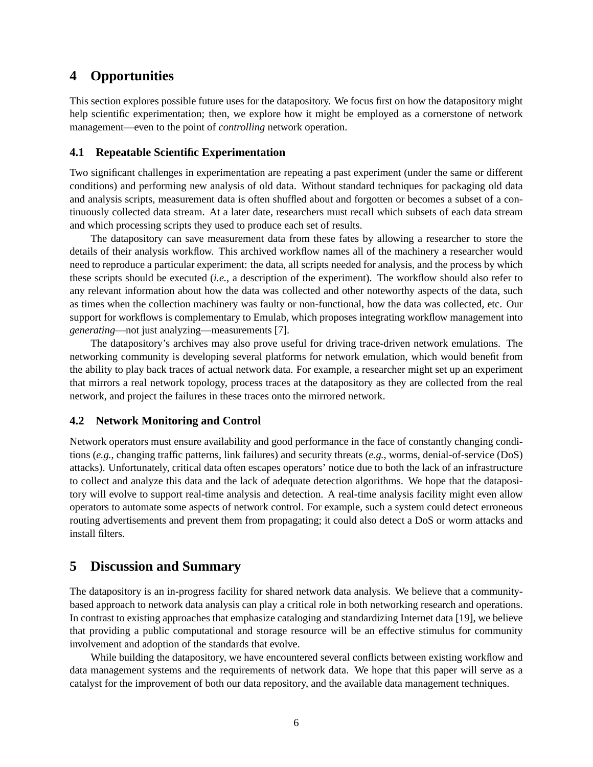# <span id="page-7-0"></span>**4 Opportunities**

This section explores possible future uses for the datapository. We focus first on how the datapository might help scientific experimentation; then, we explore how it might be employed as a cornerstone of network management—even to the point of *controlling* network operation.

### <span id="page-7-1"></span>**4.1 Repeatable Scientific Experimentation**

Two significant challenges in experimentation are repeating a past experiment (under the same or different conditions) and performing new analysis of old data. Without standard techniques for packaging old data and analysis scripts, measurement data is often shuffled about and forgotten or becomes a subset of a continuously collected data stream. At a later date, researchers must recall which subsets of each data stream and which processing scripts they used to produce each set of results.

The datapository can save measurement data from these fates by allowing a researcher to store the details of their analysis workflow. This archived workflow names all of the machinery a researcher would need to reproduce a particular experiment: the data, all scripts needed for analysis, and the process by which these scripts should be executed (*i.e.*, a description of the experiment). The workflow should also refer to any relevant information about how the data was collected and other noteworthy aspects of the data, such as times when the collection machinery was faulty or non-functional, how the data was collected, etc. Our support for workflows is complementary to Emulab, which proposes integrating workflow management into *generating*—not just analyzing—measurements [\[7\]](#page-8-15).

The datapository's archives may also prove useful for driving trace-driven network emulations. The networking community is developing several platforms for network emulation, which would benefit from the ability to play back traces of actual network data. For example, a researcher might set up an experiment that mirrors a real network topology, process traces at the datapository as they are collected from the real network, and project the failures in these traces onto the mirrored network.

### **4.2 Network Monitoring and Control**

Network operators must ensure availability and good performance in the face of constantly changing conditions (*e.g.*, changing traffic patterns, link failures) and security threats (*e.g.*, worms, denial-of-service (DoS) attacks). Unfortunately, critical data often escapes operators' notice due to both the lack of an infrastructure to collect and analyze this data and the lack of adequate detection algorithms. We hope that the datapository will evolve to support real-time analysis and detection. A real-time analysis facility might even allow operators to automate some aspects of network control. For example, such a system could detect erroneous routing advertisements and prevent them from propagating; it could also detect a DoS or worm attacks and install filters.

# **5 Discussion and Summary**

The datapository is an in-progress facility for shared network data analysis. We believe that a communitybased approach to network data analysis can play a critical role in both networking research and operations. In contrast to existing approaches that emphasize cataloging and standardizing Internet data [\[19\]](#page-9-6), we believe that providing a public computational and storage resource will be an effective stimulus for community involvement and adoption of the standards that evolve.

While building the datapository, we have encountered several conflicts between existing workflow and data management systems and the requirements of network data. We hope that this paper will serve as a catalyst for the improvement of both our data repository, and the available data management techniques.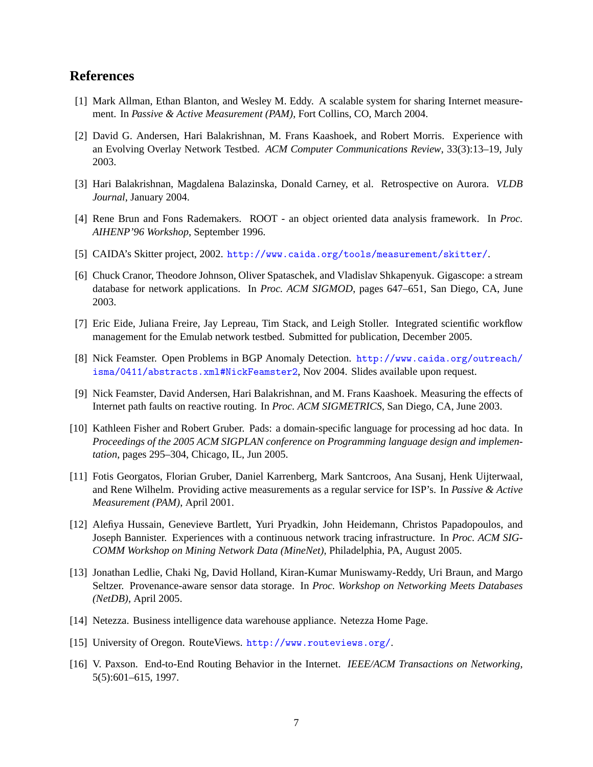## **References**

- <span id="page-8-11"></span>[1] Mark Allman, Ethan Blanton, and Wesley M. Eddy. A scalable system for sharing Internet measurement. In *Passive & Active Measurement (PAM)*, Fort Collins, CO, March 2004.
- <span id="page-8-4"></span>[2] David G. Andersen, Hari Balakrishnan, M. Frans Kaashoek, and Robert Morris. Experience with an Evolving Overlay Network Testbed. *ACM Computer Communications Review*, 33(3):13–19, July 2003.
- <span id="page-8-7"></span>[3] Hari Balakrishnan, Magdalena Balazinska, Donald Carney, et al. Retrospective on Aurora. *VLDB Journal*, January 2004.
- <span id="page-8-2"></span>[4] Rene Brun and Fons Rademakers. ROOT - an object oriented data analysis framework. In *Proc. AIHENP'96 Workshop*, September 1996.
- <span id="page-8-1"></span>[5] CAIDA's Skitter project, 2002. <http://www.caida.org/tools/measurement/skitter/>.
- <span id="page-8-8"></span>[6] Chuck Cranor, Theodore Johnson, Oliver Spataschek, and Vladislav Shkapenyuk. Gigascope: a stream database for network applications. In *Proc. ACM SIGMOD*, pages 647–651, San Diego, CA, June 2003.
- <span id="page-8-15"></span>[7] Eric Eide, Juliana Freire, Jay Lepreau, Tim Stack, and Leigh Stoller. Integrated scientific workflow management for the Emulab network testbed. Submitted for publication, December 2005.
- <span id="page-8-14"></span>[8] Nick Feamster. Open Problems in BGP Anomaly Detection. [http://www.caida.org/outreach/](http://www.caida.org/outreach/isma/0411/abstracts.xml#NickFeamster2) [isma/0411/abstracts.xml#NickFeamster2](http://www.caida.org/outreach/isma/0411/abstracts.xml#NickFeamster2), Nov 2004. Slides available upon request.
- <span id="page-8-0"></span>[9] Nick Feamster, David Andersen, Hari Balakrishnan, and M. Frans Kaashoek. Measuring the effects of Internet path faults on reactive routing. In *Proc. ACM SIGMETRICS*, San Diego, CA, June 2003.
- <span id="page-8-6"></span>[10] Kathleen Fisher and Robert Gruber. Pads: a domain-specific language for processing ad hoc data. In *Proceedings of the 2005 ACM SIGPLAN conference on Programming language design and implementation*, pages 295–304, Chicago, IL, Jun 2005.
- <span id="page-8-3"></span>[11] Fotis Georgatos, Florian Gruber, Daniel Karrenberg, Mark Santcroos, Ana Susanj, Henk Uijterwaal, and Rene Wilhelm. Providing active measurements as a regular service for ISP's. In *Passive & Active Measurement (PAM)*, April 2001.
- <span id="page-8-12"></span>[12] Alefiya Hussain, Genevieve Bartlett, Yuri Pryadkin, John Heidemann, Christos Papadopoulos, and Joseph Bannister. Experiences with a continuous network tracing infrastructure. In *Proc. ACM SIG-COMM Workshop on Mining Network Data (MineNet)*, Philadelphia, PA, August 2005.
- <span id="page-8-10"></span>[13] Jonathan Ledlie, Chaki Ng, David Holland, Kiran-Kumar Muniswamy-Reddy, Uri Braun, and Margo Seltzer. Provenance-aware sensor data storage. In *Proc. Workshop on Networking Meets Databases (NetDB)*, April 2005.
- <span id="page-8-9"></span>[14] Netezza. Business intelligence data warehouse appliance. Netezza Home Page.
- <span id="page-8-13"></span>[15] University of Oregon. RouteViews. <http://www.routeviews.org/>.
- <span id="page-8-5"></span>[16] V. Paxson. End-to-End Routing Behavior in the Internet. *IEEE/ACM Transactions on Networking*, 5(5):601–615, 1997.